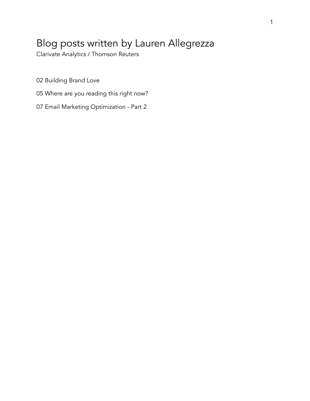# Blog posts written by Lauren Allegrezza

Clarivate Analytics / Thomson Reuters

02 Building Brand Love

- 05 Where are you reading this right now?
- 07 Email Marketing Optimization Part 2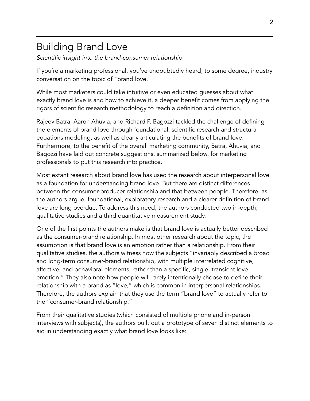## Building Brand Love

*Scientific insight into the brand-consumer relationship* 

If you're a marketing professional, you've undoubtedly heard, to some degree, industry conversation on the topic of "brand love."

While most marketers could take intuitive or even educated guesses about what exactly brand love is and how to achieve it, a deeper benefit comes from applying the rigors of scientific research methodology to reach a definition and direction.

Rajeev Batra, Aaron Ahuvia, and Richard P. Bagozzi tackled the challenge of defining the elements of brand love through foundational, scientific research and structural equations modeling, as well as clearly articulating the benefits of brand love. Furthermore, to the benefit of the overall marketing community, Batra, Ahuvia, and Bagozzi have laid out concrete suggestions, summarized below, for marketing professionals to put this research into practice.

Most extant research about brand love has used the research about interpersonal love as a foundation for understanding brand love. But there are distinct differences between the consumer-producer relationship and that between people. Therefore, as the authors argue, foundational, exploratory research and a clearer definition of brand love are long overdue. To address this need, the authors conducted two in-depth, qualitative studies and a third quantitative measurement study.

One of the first points the authors make is that brand love is actually better described as the consumer-brand relationship. In most other research about the topic, the assumption is that brand love is an emotion rather than a relationship. From their qualitative studies, the authors witness how the subjects "invariably described a broad and long-term consumer-brand relationship, with multiple interrelated cognitive, affective, and behavioral elements, rather than a specific, single, transient love emotion." They also note how people will rarely intentionally choose to define their relationship with a brand as "love," which is common in interpersonal relationships. Therefore, the authors explain that they use the term "brand love" to actually refer to the "consumer-brand relationship."

From their qualitative studies (which consisted of multiple phone and in-person interviews with subjects), the authors built out a prototype of seven distinct elements to aid in understanding exactly what brand love looks like: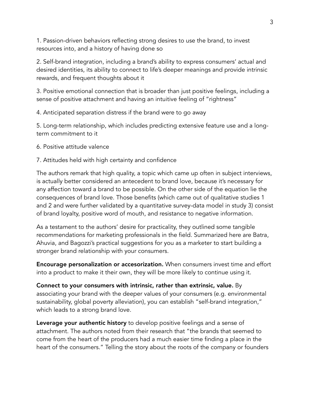1. Passion-driven behaviors reflecting strong desires to use the brand, to invest resources into, and a history of having done so

2. Self-brand integration, including a brand's ability to express consumers' actual and desired identities, its ability to connect to life's deeper meanings and provide intrinsic rewards, and frequent thoughts about it

3. Positive emotional connection that is broader than just positive feelings, including a sense of positive attachment and having an intuitive feeling of "rightness"

4. Anticipated separation distress if the brand were to go away

5. Long-term relationship, which includes predicting extensive feature use and a longterm commitment to it

- 6. Positive attitude valence
- 7. Attitudes held with high certainty and confidence

The authors remark that high quality, a topic which came up often in subject interviews, is actually better considered an antecedent to brand love, because it's necessary for any affection toward a brand to be possible. On the other side of the equation lie the consequences of brand love. Those benefits (which came out of qualitative studies 1 and 2 and were further validated by a quantitative survey-data model in study 3) consist of brand loyalty, positive word of mouth, and resistance to negative information.

As a testament to the authors' desire for practicality, they outlined some tangible recommendations for marketing professionals in the field. Summarized here are Batra, Ahuvia, and Bagozzi's practical suggestions for you as a marketer to start building a stronger brand relationship with your consumers.

Encourage personalization or accesorization. When consumers invest time and effort into a product to make it their own, they will be more likely to continue using it.

Connect to your consumers with intrinsic, rather than extrinsic, value. By associating your brand with the deeper values of your consumers (e.g. environmental sustainability, global poverty alleviation), you can establish "self-brand integration," which leads to a strong brand love.

Leverage your authentic history to develop positive feelings and a sense of attachment. The authors noted from their research that "the brands that seemed to come from the heart of the producers had a much easier time finding a place in the heart of the consumers." Telling the story about the roots of the company or founders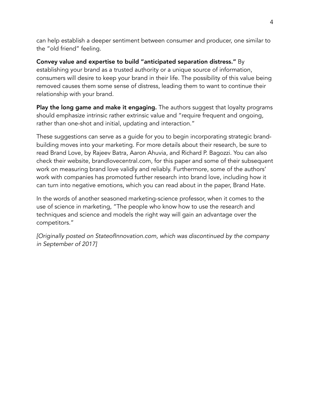can help establish a deeper sentiment between consumer and producer, one similar to the "old friend" feeling.

Convey value and expertise to build "anticipated separation distress." By establishing your brand as a trusted authority or a unique source of information, consumers will desire to keep your brand in their life. The possibility of this value being removed causes them some sense of distress, leading them to want to continue their relationship with your brand.

Play the long game and make it engaging. The authors suggest that loyalty programs should emphasize intrinsic rather extrinsic value and "require frequent and ongoing, rather than one-shot and initial, updating and interaction."

These suggestions can serve as a guide for you to begin incorporating strategic brandbuilding moves into your marketing. For more details about their research, be sure to read Brand Love, by Rajeev Batra, Aaron Ahuvia, and Richard P. Bagozzi. You can also check their website, brandlovecentral.com, for this paper and some of their subsequent work on measuring brand love validly and reliably. Furthermore, some of the authors' work with companies has promoted further research into brand love, including how it can turn into negative emotions, which you can read about in the paper, Brand Hate.

In the words of another seasoned marketing-science professor, when it comes to the use of science in marketing, "The people who know how to use the research and techniques and science and models the right way will gain an advantage over the competitors."

*[Originally posted on StateofInnovation.com, which was discontinued by the company in September of 2017]*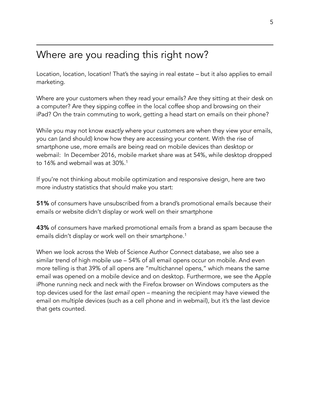## Where are you reading this right now?

Location, location, location! That's the saying in real estate – but it also applies to email marketing.

Where are your customers when they read your emails? Are they sitting at their desk on a computer? Are they sipping coffee in the local coffee shop and browsing on their iPad? On the train commuting to work, getting a head start on emails on their phone?

While you may not know *exactly* where your customers are when they view your emails, you can (and should) know how they are accessing your content. With the rise of smartphone use, more emails are being read on mobile devices than desktop or webmail: In December 2016, mobile market share was at 54%, while desktop dropped to 16% and webmail was at 30%.<sup>1</sup>

If you're not thinking about mobile optimization and responsive design, here are two more industry statistics that should make you start:

51% of consumers have unsubscribed from a brand's promotional emails because their emails or website didn't display or work well on their smartphone

43% of consumers have marked promotional emails from a brand as spam because the emails didn't display or work well on their smartphone.1

When we look across the Web of Science Author Connect database, we also see a similar trend of high mobile use – 54% of all email opens occur on mobile. And even more telling is that 39% of all opens are "multichannel opens," which means the same email was opened on a mobile device and on desktop. Furthermore, we see the Apple iPhone running neck and neck with the Firefox browser on Windows computers as the top devices used for the *last email open* – meaning the recipient may have viewed the email on multiple devices (such as a cell phone and in webmail), but it's the last device that gets counted.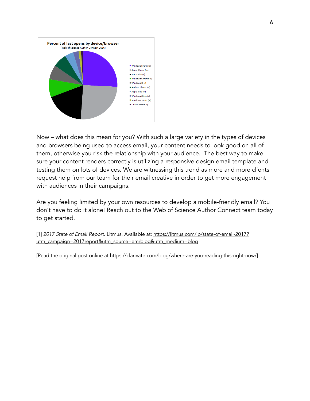

Now – what does this mean for you? With such a large variety in the types of devices and browsers being used to access email, your content needs to look good on all of them, otherwise you risk the relationship with your audience. The best way to make sure your content renders correctly is utilizing a responsive design email template and testing them on lots of devices. We are witnessing this trend as more and more clients request help from our team for their email creative in order to get more engagement with audiences in their campaigns.

Are you feeling limited by your own resources to develop a mobile-friendly email? You don't have to do it alone! Reach out to the [Web of Science Author Connect](http://clarivate.com/scientific-and-academic-research/research-publishing/author-connect-custom-mailing-lists/) team today to get started.

[1] *2017 State of Email Report*[. Litmus. Available at: https://litmus.com/lp/state-of-email-2017?](https://litmus.com/lp/state-of-email-2017?utm_campaign=2017report&utm_source=emrblog&utm_medium=blog) [utm\\_campaign=2017report&utm\\_source=emrblog&utm\\_medium=blog](https://litmus.com/lp/state-of-email-2017?utm_campaign=2017report&utm_source=emrblog&utm_medium=blog)

[Read the original post online at<https://clarivate.com/blog/where-are-you-reading-this-right-now/>]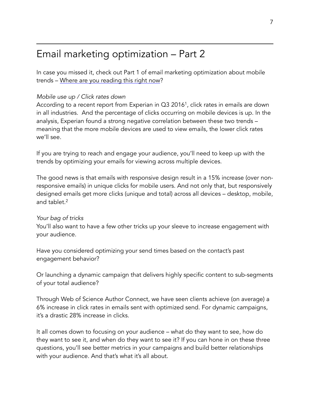## Email marketing optimization – Part 2

In case you missed it, check out Part 1 of email marketing optimization about mobile trends – [Where are you reading this right now](http://clarivate.com/where-are-you-reading-this-right-now)?

### *Mobile use up / Click rates down*

According to a recent report from Experian in Q3 2016<sup>1</sup>, click rates in emails are down in all industries. And the percentage of clicks occurring on mobile devices is up. In the analysis, Experian found a strong negative correlation between these two trends – meaning that the more mobile devices are used to view emails, the lower click rates we'll see.

If you are trying to reach and engage your audience, you'll need to keep up with the trends by optimizing your emails for viewing across multiple devices.

The good news is that emails with responsive design result in a 15% increase (over nonresponsive emails) in unique clicks for mobile users. And not only that, but responsively designed emails get more clicks (unique and total) across all devices – desktop, mobile, and tablet.2

#### *Your bag of tricks*

You'll also want to have a few other tricks up your sleeve to increase engagement with your audience.

Have you considered optimizing your send times based on the contact's past engagement behavior?

Or launching a dynamic campaign that delivers highly specific content to sub-segments of your total audience?

Through Web of Science Author Connect, we have seen clients achieve (on average) a 6% increase in click rates in emails sent with optimized send. For dynamic campaigns, it's a drastic 28% increase in clicks.

It all comes down to focusing on your audience – what do they want to see, how do they want to see it, and when do they want to see it? If you can hone in on these three questions, you'll see better metrics in your campaigns and build better relationships with your audience. And that's what it's all about.